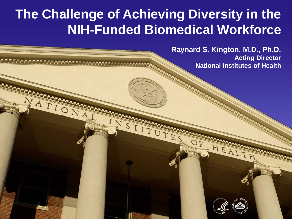## **The Challenge of Achieving Diversity in the NIH-Funded Biomedical Workforce**

N STITUTES

TIONATURE

ATIONAL

**Raynard S. Kington, M.D., Ph.D. Acting Director National Institutes of Health**



HEALT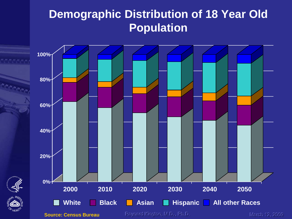## **Demographic Distribution of 18 Year Old Population**

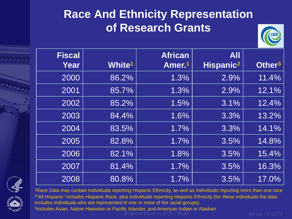## **Race And Ethnicity Representation of Research Grants**



| <b>Fiscal</b> |               | <b>African</b>     | <b>All</b>            |                    |
|---------------|---------------|--------------------|-----------------------|--------------------|
| Year          | <b>White1</b> | Amer. <sup>1</sup> | Hispanic <sup>2</sup> | Other <sup>3</sup> |
| 2000          | 86.2%         | 1.3%               | 2.9%                  | 11.4%              |
| 2001          | 85.7%         | 1.3%               | 2.9%                  | 12.1%              |
| 2002          | 85.2%         | 1.5%               | 3.1%                  | 12.4%              |
| 2003          | 84.4%         | 1.6%               | 3.3%                  | 13.2%              |
| 2004          | 83.5%         | 1.7%               | 3.3%                  | 14.1%              |
| 2005          | 82.8%         | 1.7%               | 3.5%                  | 14.8%              |
| 2006          | 82.1%         | 1.8%               | 3.5%                  | 15.4%              |
| 2007          | 81.4%         | 1.7%               | 3.5%                  | 16.3%              |
| 2008          | 80.8%         | 1.7%               | 3.5%                  | 17.0%              |





<sup>1</sup>Race Data may contain individuals reporting Hispanic Ethnicity, as well as individuals reporting more than one race 2"All Hispanic" includes Hispanic Race, plus individuals reporting Hispanic Ethnicity (for these individuals the data includes individuals who are represented in one or more of the racial groups). 3Includes Asian, Native Hawaiian or Pacific Islander, and American Indian or Alaskan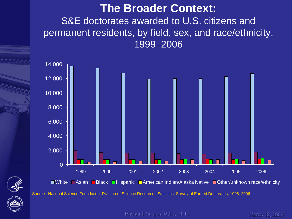#### **The Broader Context:**  S&E doctorates awarded to U.S. citizens and permanent residents, by field, sex, and race/ethnicity, 1999–2006



■White Asian Black Hispanic American Indian/Alaska Native Dother/unknown race/ethnicity

Source: National Science Foundation, Division of Science Resources Statistics, Survey of Earned Doctorates, 1998–2006

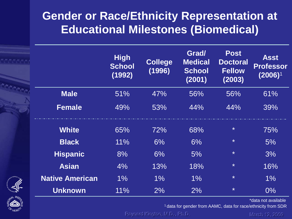## **Gender or Race/Ethnicity Representation at Educational Milestones (Biomedical)**

|                        | <b>High</b><br><b>School</b><br>(1992) | <b>College</b><br>(1996) | Grad/<br><b>Medical</b><br><b>School</b><br>(2001) | <b>Post</b><br><b>Doctoral</b><br><b>Fellow</b><br>(2003) | <b>Asst</b><br><b>Professor</b><br>$(2006)^1$ |
|------------------------|----------------------------------------|--------------------------|----------------------------------------------------|-----------------------------------------------------------|-----------------------------------------------|
| <b>Male</b>            | 51%                                    | 47%                      | 56%                                                | 56%                                                       | 61%                                           |
| <b>Female</b>          | 49%                                    | 53%                      | 44%                                                | 44%                                                       | 39%                                           |
| <b>White</b>           | 65%                                    | 72%                      | 68%                                                | $\star$                                                   | 75%                                           |
| <b>Black</b>           | 11%                                    | 6%                       | 6%                                                 | $\ast$                                                    | 5%                                            |
| <b>Hispanic</b>        | 8%                                     | 6%                       | 5%                                                 | $\ast$                                                    | 3%                                            |
| <b>Asian</b>           | 4%                                     | 13%                      | 18%                                                | $\ast$                                                    | 16%                                           |
| <b>Native American</b> | 1%                                     | 1%                       | 1%                                                 | $\star$                                                   | 1%                                            |
| <b>Unknown</b>         | 11%                                    | 2%                       | 2%                                                 | $\star$                                                   | $0\%$                                         |



\*data not available

1 data for gender from AAMC, data for race/ethnicity from SDR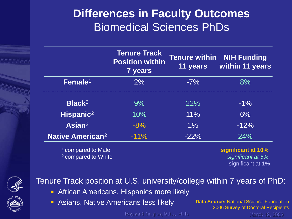### **Differences in Faculty Outcomes**  Biomedical Sciences PhDs

|                                                                 | <b>Tenure Track</b><br><b>Position within</b><br><b>7 years</b> | <b>Tenure within</b><br>11 years | <b>NIH Funding</b><br>within 11 years                        |
|-----------------------------------------------------------------|-----------------------------------------------------------------|----------------------------------|--------------------------------------------------------------|
| Female <sup>1</sup>                                             | $2\%$                                                           | $-7\%$                           | 8%                                                           |
| Black <sup>2</sup>                                              | $9\%$                                                           | 22%                              | $-1\%$                                                       |
| Hispanic <sup>2</sup>                                           | 10%                                                             | 11%                              | 6%                                                           |
| Asian $2$                                                       | $-8%$                                                           | $1\%$                            | $-12%$                                                       |
| <b>Native American<sup>2</sup></b>                              | $-11\%$                                                         | $-22%$                           | 24%                                                          |
| <sup>1</sup> compared to Male<br><sup>2</sup> compared to White |                                                                 |                                  | significant at 10%<br>significant at 5%<br>significant at 1% |



#### Tenure Track position at U.S. university/college within 7 years of PhD:

- **African Americans, Hispanics more likely**
- Asians, Native Americans less likely **Data Source: National Science Foundation**

2006 Survey of Doctoral Recipients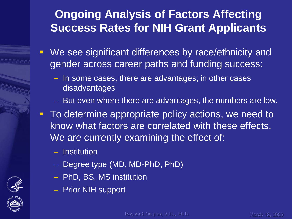## **Ongoing Analysis of Factors Affecting Success Rates for NIH Grant Applicants**

- **We see significant differences by race/ethnicity and** gender across career paths and funding success:
	- In some cases, there are advantages; in other cases disadvantages
	- But even where there are advantages, the numbers are low.
- **To determine appropriate policy actions, we need to** know what factors are correlated with these effects. We are currently examining the effect of:
	- Institution
	- Degree type (MD, MD-PhD, PhD)
	- PhD, BS, MS institution
	- Prior NIH support



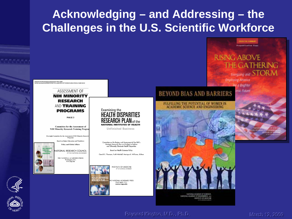## **Acknowledging – and Addressing – the Challenges in the U.S. Scientific Workforce**

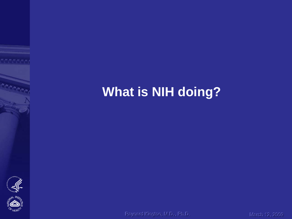## **What is NIH doing?**



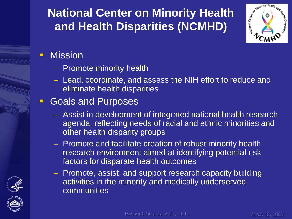## **National Center on Minority Health and Health Disparities (NCMHD)**



#### **- Mission**

- Promote minority health
- Lead, coordinate, and assess the NIH effort to reduce and eliminate health disparities

#### **Goals and Purposes**

- Assist in development of integrated national health research agenda, reflecting needs of racial and ethnic minorities and other health disparity groups
- Promote and facilitate creation of robust minority health research environment aimed at identifying potential risk factors for disparate health outcomes
- Promote, assist, and support research capacity building activities in the minority and medically underserved communities



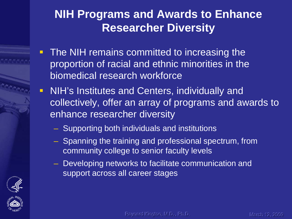### **NIH Programs and Awards to Enhance Researcher Diversity**

- The NIH remains committed to increasing the proportion of racial and ethnic minorities in the biomedical research workforce
- **NIH's Institutes and Centers, individually and** collectively, offer an array of programs and awards to enhance researcher diversity
	- Supporting both individuals and institutions
	- Spanning the training and professional spectrum, from community college to senior faculty levels
	- Developing networks to facilitate communication and support across all career stages



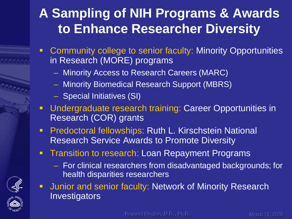## **A Sampling of NIH Programs & Awards to Enhance Researcher Diversity**

- **Community college to senior faculty: Minority Opportunities** in Research (MORE) programs
	- Minority Access to Research Careers (MARC)
	- Minority Biomedical Research Support (MBRS)
	- Special Initiatives (SI)
- **Undergraduate research training: Career Opportunities in** Research (COR) grants
- **Predoctoral fellowships: Ruth L. Kirschstein National** Research Service Awards to Promote Diversity
- **-** Transition to research: Loan Repayment Programs
	- For clinical researchers from disadvantaged backgrounds; for health disparities researchers
- **Junior and senior faculty: Network of Minority Research Investigators**

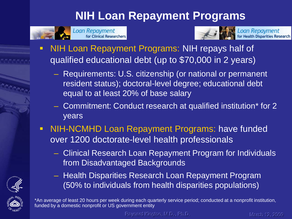## **NIH Loan Repayment Programs**







Loan Repayment<br>for Health Disparities Research

- NIH Loan Repayment Programs: NIH repays half of qualified educational debt (up to \$70,000 in 2 years)
	- Requirements: U.S. citizenship (or national or permanent resident status); doctoral-level degree; educational debt equal to at least 20% of base salary
	- Commitment: Conduct research at qualified institution\* for 2 years
- NIH-NCMHD Loan Repayment Programs: have funded over 1200 doctorate-level health professionals
	- Clinical Research Loan Repayment Program for Individuals from Disadvantaged Backgrounds
	- Health Disparities Research Loan Repayment Program (50% to individuals from health disparities populations)



\*An average of least 20 hours per week during each quarterly service period; conducted at a nonprofit institution, funded by a domestic nonprofit or US government entity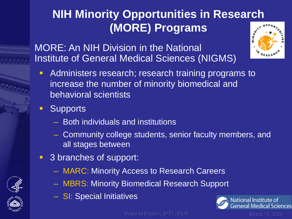## **NIH Minority Opportunities in Research (MORE) Programs**

MORE: An NIH Division in the National Institute of General Medical Sciences (NIGMS)



- **-** Administers research; research training programs to increase the number of minority biomedical and behavioral scientists
- **Supports** 
	- Both individuals and institutions
	- Community college students, senior faculty members, and all stages between
- 3 branches of support:
	- MARC: Minority Access to Research Careers
	- MBRS: Minority Biomedical Research Support
	- SI: Special Initiatives

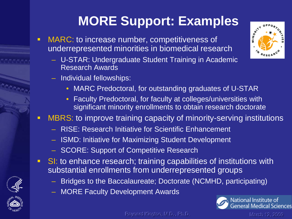## **MORE Support: Examples**

- **MARC: to increase number, competitiveness of** underrepresented minorities in biomedical research
	- U-STAR: Undergraduate Student Training in Academic Research Awards
	- Individual fellowships:
		- MARC Predoctoral, for outstanding graduates of U-STAR
		- Faculty Predoctoral, for faculty at colleges/universities with significant minority enrollments to obtain research doctorate

#### **NBRS:** to improve training capacity of minority-serving institutions

- RISE: Research Initiative for Scientific Enhancement
- ISMD: Initiative for Maximizing Student Development
- SCORE: Support of Competitive Research
- SI: to enhance research; training capabilities of institutions with substantial enrollments from underrepresented groups
	- Bridges to the Baccalaureate; Doctorate (NCMHD, participating)
	- MORE Faculty Development Awards







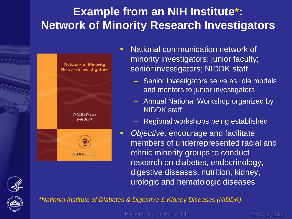## **Example from an NIH Institute\*: Network of Minority Research Investigators**



- **National communication network of** minority investigators: junior faculty; senior investigators; NIDDK staff
	- Senior investigators serve as role models and mentors to junior investigators
	- Annual National Workshop organized by NIDDK staff
	- Regional workshops being established
- *Objective*: encourage and facilitate members of underrepresented racial and ethnic minority groups to conduct research on diabetes, endocrinology, digestive diseases, nutrition, kidney, urologic and hematologic diseases





*\*National Institute of Diabetes & Digestive & Kidney Diseases (NIDDK)*